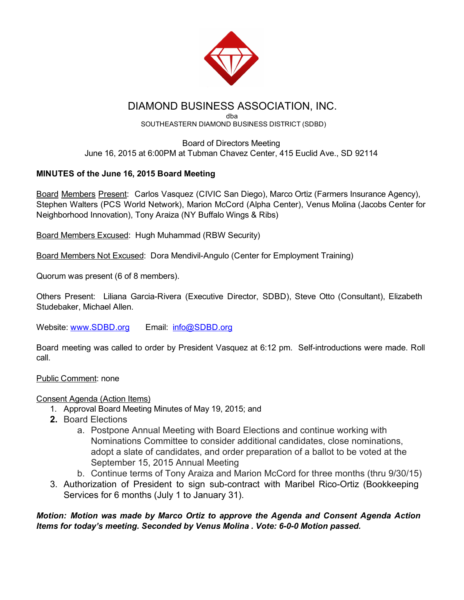

# DIAMOND BUSINESS ASSOCIATION, INC.

#### dba SOUTHEASTERN DIAMOND BUSINESS DISTRICT (SDBD)

#### Board of Directors Meeting June 16, 2015 at 6:00PM at Tubman Chavez Center, 415 Euclid Ave., SD 92114

## MINUTES of the June 16, 2015 Board Meeting

Board Members Present: Carlos Vasquez (CIVIC San Diego), Marco Ortiz (Farmers Insurance Agency), Stephen Walters (PCS World Network), Marion McCord (Alpha Center), Venus Molina (Jacobs Center for Neighborhood Innovation), Tony Araiza (NY Buffalo Wings & Ribs)

Board Members Excused: Hugh Muhammad (RBW Security)

Board Members Not Excused: Dora Mendivil-Angulo (Center for Employment Training)

Quorum was present (6 of 8 members).

Others Present: Liliana Garcia-Rivera (Executive Director, SDBD), Steve Otto (Consultant), Elizabeth Studebaker, Michael Allen.

Website: [www.SDBD.org](http://www.sdbd.org/) Email: [info@SDBD.org](mailto:info@SDBD.org)

Board meeting was called to order by President Vasquez at 6:12 pm. Self-introductions were made. Roll call.

Public Comment: none

### Consent Agenda (Action Items)

- 1. Approval Board Meeting Minutes of May 19, 2015; and
- 2. Board Elections
	- a. Postpone Annual Meeting with Board Elections and continue working with Nominations Committee to consider additional candidates, close nominations, adopt a slate of candidates, and order preparation of a ballot to be voted at the September 15, 2015 Annual Meeting
	- b. Continue terms of Tony Araiza and Marion McCord for three months (thru 9/30/15)
- 3. Authorization of President to sign sub-contract with Maribel Rico-Ortiz (Bookkeeping Services for 6 months (July 1 to January 31).

#### *Motion: Motion was made by Marco Ortiz to approve the Agenda and Consent Agenda Action Items for today's meeting. Seconded by Venus Molina . Vote: 600 Motion passed.*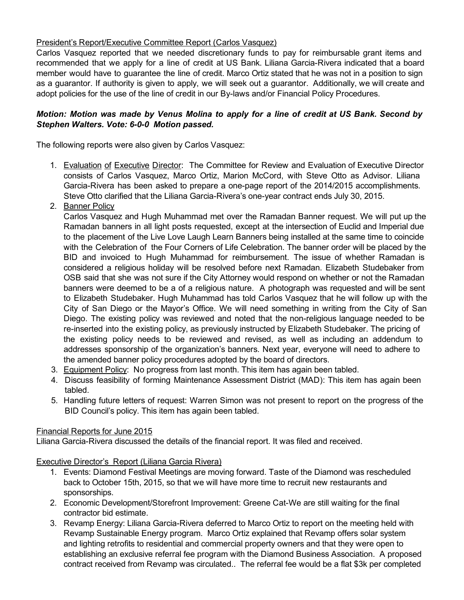#### President's Report/Executive Committee Report (Carlos Vasquez)

Carlos Vasquez reported that we needed discretionary funds to pay for reimbursable grant items and recommended that we apply for a line of credit at US Bank. Liliana Garcia-Rivera indicated that a board member would have to guarantee the line of credit. Marco Ortiz stated that he was not in a position to sign as a guarantor. If authority is given to apply, we will seek out a guarantor. Additionally, we will create and adopt policies for the use of the line of credit in our By-laws and/or Financial Policy Procedures.

#### *Motion: Motion was made by Venus Molina to apply for a line of credit at US Bank. Second by Stephen Walters. Vote: 6-0-0 Motion passed.*

The following reports were also given by Carlos Vasquez:

1. Evaluation of Executive Director: The Committee for Review and Evaluation of Executive Director consists of Carlos Vasquez, Marco Ortiz, Marion McCord, with Steve Otto as Advisor. Liliana Garcia-Rivera has been asked to prepare a one-page report of the 2014/2015 accomplishments. Steve Otto clarified that the Liliana Garcia-Rivera's one-year contract ends July 30, 2015.

#### 2. Banner Policy

Carlos Vasquez and Hugh Muhammad met over the Ramadan Banner request. We will put up the Ramadan banners in all light posts requested, except at the intersection of Euclid and Imperial due to the placement of the Live Love Laugh Learn Banners being installed at the same time to coincide with the Celebration of the Four Corners of Life Celebration. The banner order will be placed by the BID and invoiced to Hugh Muhammad for reimbursement. The issue of whether Ramadan is considered a religious holiday will be resolved before next Ramadan. Elizabeth Studebaker from OSB said that she was not sure if the City Attorney would respond on whether or not the Ramadan banners were deemed to be a of a religious nature. A photograph was requested and will be sent to Elizabeth Studebaker. Hugh Muhammad has told Carlos Vasquez that he will follow up with the City of San Diego or the Mayor's Office. We will need something in writing from the City of San Diego. The existing policy was reviewed and noted that the non-religious language needed to be re-inserted into the existing policy, as previously instructed by Elizabeth Studebaker. The pricing of the existing policy needs to be reviewed and revised, as well as including an addendum to addresses sponsorship of the organization's banners. Next year, everyone will need to adhere to the amended banner policy procedures adopted by the board of directors.

- 3. Equipment Policy: No progress from last month. This item has again been tabled.
- 4. Discuss feasibility of forming Maintenance Assessment District (MAD): This item has again been tabled.
- 5. Handling future letters of request: Warren Simon was not present to report on the progress of the BID Council's policy. This item has again been tabled.

#### Financial Reports for June 2015

Liliana Garcia-Rivera discussed the details of the financial report. It was filed and received.

Executive Director's Report (Liliana Garcia Rivera)

- 1. Events: Diamond Festival Meetings are moving forward. Taste of the Diamond was rescheduled back to October 15th, 2015, so that we will have more time to recruit new restaurants and sponsorships.
- 2. Economic Development/Storefront Improvement: Greene Cat-We are still waiting for the final contractor bid estimate.
- 3. Revamp Energy: Liliana Garcia-Rivera deferred to Marco Ortiz to report on the meeting held with Revamp Sustainable Energy program. Marco Ortiz explained that Revamp offers solar system and lighting retrofits to residential and commercial property owners and that they were open to establishing an exclusive referral fee program with the Diamond Business Association. A proposed contract received from Revamp was circulated.. The referral fee would be a flat \$3k per completed